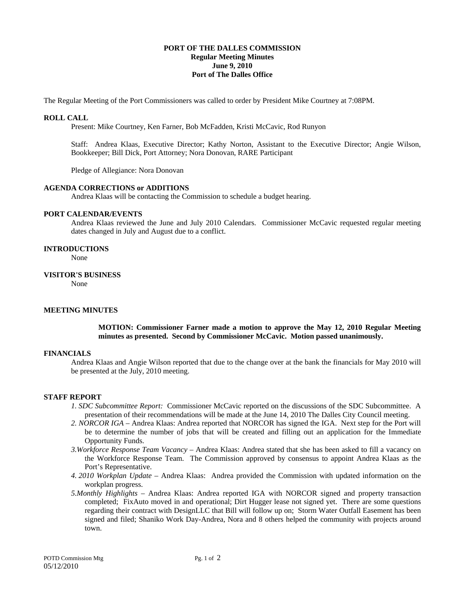## **PORT OF THE DALLES COMMISSION Regular Meeting Minutes June 9, 2010 Port of The Dalles Office**

The Regular Meeting of the Port Commissioners was called to order by President Mike Courtney at 7:08PM.

# **ROLL CALL**

Present: Mike Courtney, Ken Farner, Bob McFadden, Kristi McCavic, Rod Runyon

Staff: Andrea Klaas, Executive Director; Kathy Norton, Assistant to the Executive Director; Angie Wilson, Bookkeeper; Bill Dick, Port Attorney; Nora Donovan, RARE Participant

Pledge of Allegiance: Nora Donovan

# **AGENDA CORRECTIONS or ADDITIONS**

Andrea Klaas will be contacting the Commission to schedule a budget hearing.

### **PORT CALENDAR/EVENTS**

Andrea Klaas reviewed the June and July 2010 Calendars. Commissioner McCavic requested regular meeting dates changed in July and August due to a conflict.

## **INTRODUCTIONS**

None

## **VISITOR'S BUSINESS**

None

### **MEETING MINUTES**

### **MOTION: Commissioner Farner made a motion to approve the May 12, 2010 Regular Meeting minutes as presented. Second by Commissioner McCavic. Motion passed unanimously.**

### **FINANCIALS**

Andrea Klaas and Angie Wilson reported that due to the change over at the bank the financials for May 2010 will be presented at the July, 2010 meeting.

### **STAFF REPORT**

- *1. SDC Subcommittee Report:* Commissioner McCavic reported on the discussions of the SDC Subcommittee. A presentation of their recommendations will be made at the June 14, 2010 The Dalles City Council meeting.
- *2. NORCOR IGA* Andrea Klaas: Andrea reported that NORCOR has signed the IGA. Next step for the Port will be to determine the number of jobs that will be created and filling out an application for the Immediate Opportunity Funds.
- *3.Workforce Response Team Vacancy* Andrea Klaas: Andrea stated that she has been asked to fill a vacancy on the Workforce Response Team. The Commission approved by consensus to appoint Andrea Klaas as the Port's Representative.
- *4. 2010 Workplan Update* Andrea Klaas: Andrea provided the Commission with updated information on the workplan progress.
- *5.Monthly Highlights* Andrea Klaas: Andrea reported IGA with NORCOR signed and property transaction completed; FixAuto moved in and operational; Dirt Hugger lease not signed yet. There are some questions regarding their contract with DesignLLC that Bill will follow up on; Storm Water Outfall Easement has been signed and filed; Shaniko Work Day-Andrea, Nora and 8 others helped the community with projects around town.